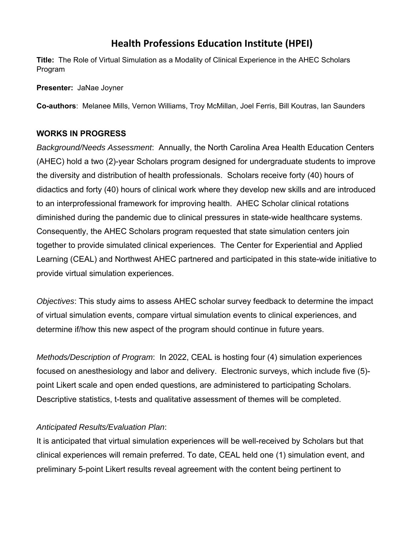## **Health Professions Education Institute (HPEI)**

**Title:** The Role of Virtual Simulation as a Modality of Clinical Experience in the AHEC Scholars Program

**Presenter:** JaNae Joyner

**Co-authors**: Melanee Mills, Vernon Williams, Troy McMillan, Joel Ferris, Bill Koutras, Ian Saunders

## **WORKS IN PROGRESS**

*Background/Needs Assessment*: Annually, the North Carolina Area Health Education Centers (AHEC) hold a two (2)-year Scholars program designed for undergraduate students to improve the diversity and distribution of health professionals. Scholars receive forty (40) hours of didactics and forty (40) hours of clinical work where they develop new skills and are introduced to an interprofessional framework for improving health. AHEC Scholar clinical rotations diminished during the pandemic due to clinical pressures in state-wide healthcare systems. Consequently, the AHEC Scholars program requested that state simulation centers join together to provide simulated clinical experiences. The Center for Experiential and Applied Learning (CEAL) and Northwest AHEC partnered and participated in this state-wide initiative to provide virtual simulation experiences.

*Objectives*: This study aims to assess AHEC scholar survey feedback to determine the impact of virtual simulation events, compare virtual simulation events to clinical experiences, and determine if/how this new aspect of the program should continue in future years.

*Methods/Description of Program*: In 2022, CEAL is hosting four (4) simulation experiences focused on anesthesiology and labor and delivery. Electronic surveys, which include five (5) point Likert scale and open ended questions, are administered to participating Scholars. Descriptive statistics, t-tests and qualitative assessment of themes will be completed.

## *Anticipated Results/Evaluation Plan*:

It is anticipated that virtual simulation experiences will be well-received by Scholars but that clinical experiences will remain preferred. To date, CEAL held one (1) simulation event, and preliminary 5-point Likert results reveal agreement with the content being pertinent to